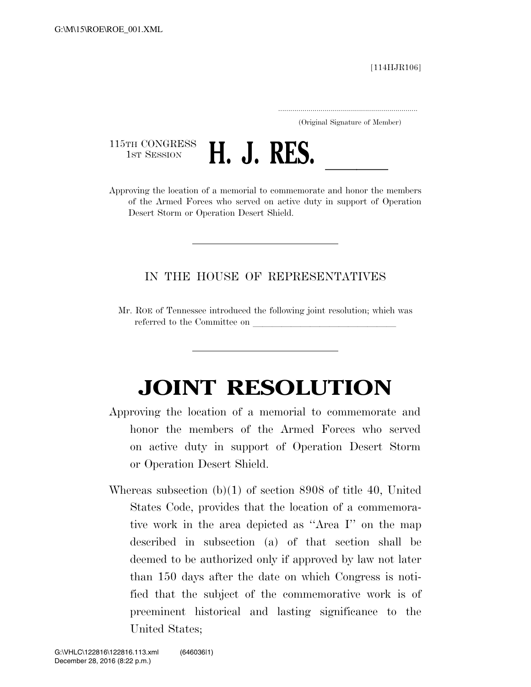[114HJR106]

..................................................................... (Original Signature of Member)

115TH CONGRESS<br>1st Session



115TH CONGRESS **H. J. RES.**<br>Approving the location of a memorial to commemorate and honor the members of the Armed Forces who served on active duty in support of Operation Desert Storm or Operation Desert Shield.

## IN THE HOUSE OF REPRESENTATIVES

Mr. ROE of Tennessee introduced the following joint resolution; which was referred to the Committee on

## **JOINT RESOLUTION**

- Approving the location of a memorial to commemorate and honor the members of the Armed Forces who served on active duty in support of Operation Desert Storm or Operation Desert Shield.
- Whereas subsection (b)(1) of section 8908 of title 40, United States Code, provides that the location of a commemorative work in the area depicted as ''Area I'' on the map described in subsection (a) of that section shall be deemed to be authorized only if approved by law not later than 150 days after the date on which Congress is notified that the subject of the commemorative work is of preeminent historical and lasting significance to the United States;